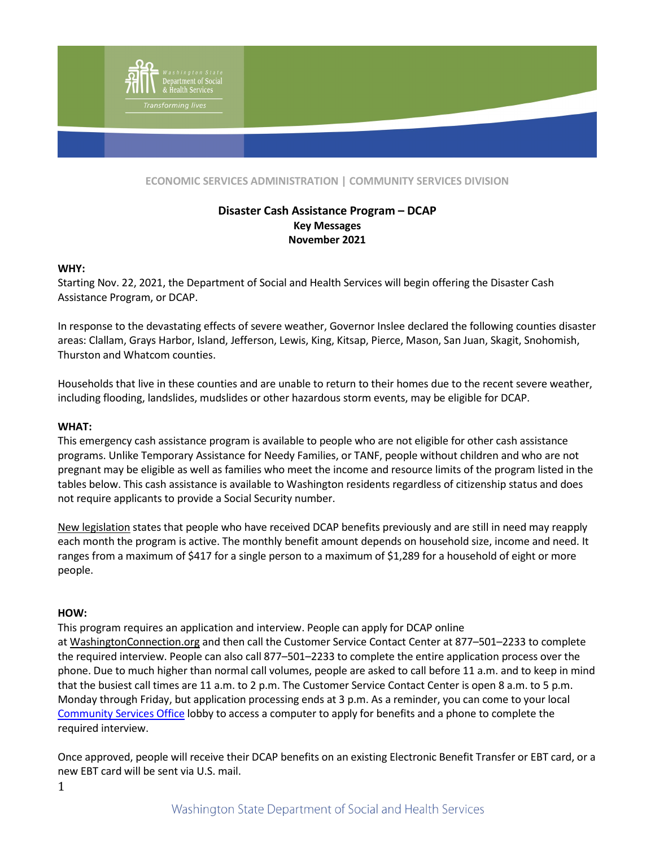

**ECONOMIC SERVICES ADMINISTRATION | COMMUNITY SERVICES DIVISION**

# **Disaster Cash Assistance Program – DCAP Key Messages November 2021**

#### **WHY:**

Starting Nov. 22, 2021, the Department of Social and Health Services will begin offering the Disaster Cash Assistance Program, or DCAP.

In response to the devastating effects of severe weather, Governor Inslee declared the following counties disaster areas: Clallam, Grays Harbor, Island, Jefferson, Lewis, King, Kitsap, Pierce, Mason, San Juan, Skagit, Snohomish, Thurston and Whatcom counties.

Households that live in these counties and are unable to return to their homes due to the recent severe weather, including flooding, landslides, mudslides or other hazardous storm events, may be eligible for DCAP.

#### **WHAT:**

This emergency cash assistance program is available to people who are not eligible for other cash assistance programs. Unlike Temporary Assistance for Needy Families, or TANF, people without children and who are not pregnant may be eligible as well as families who meet the income and resource limits of the program listed in the tables below. This cash assistance is available to Washington residents regardless of citizenship status and does not require applicants to provide a Social Security number.

[New legislation](http://lawfilesext.leg.wa.gov/biennium/2021-22/Pdf/Bills/Session%20Laws/House/1151-S.SL.pdf?q=20210415163213) states that people who have received DCAP benefits previously and are still in need may reapply each month the program is active. The monthly benefit amount depends on household size, income and need. It ranges from a maximum of \$417 for a single person to a maximum of \$1,289 for a household of eight or more people.

#### **HOW:**

This program requires an application and interview. People can apply for DCAP online at [WashingtonConnection.org](https://www.washingtonconnection.org/home/) and then call the Customer Service Contact Center at 877–501–2233 to complete the required interview. People can also call 877–501–2233 to complete the entire application process over the phone. Due to much higher than normal call volumes, people are asked to call before 11 a.m. and to keep in mind that the busiest call times are 11 a.m. to 2 p.m. The Customer Service Contact Center is open 8 a.m. to 5 p.m. Monday through Friday, but application processing ends at 3 p.m. As a reminder, you can come to your local [Community Services Office](https://www.dshs.wa.gov/office-locations) lobby to access a computer to apply for benefits and a phone to complete the required interview.

Once approved, people will receive their DCAP benefits on an existing Electronic Benefit Transfer or EBT card, or a new EBT card will be sent via U.S. mail.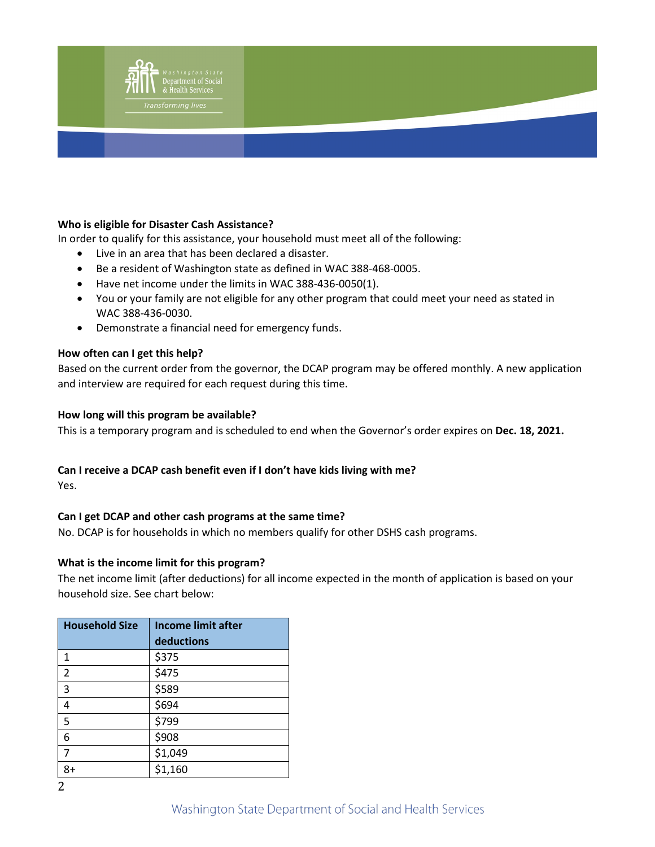

### **Who is eligible for Disaster Cash Assistance?**

In order to qualify for this assistance, your household must meet all of the following:

- Live in an area that has been declared a disaster.
- Be a resident of Washington state as defined in WAC [388-468-0005.](http://app.leg.wa.gov/WAC/default.aspx?cite=388-468-0005)
- Have net income under the limits in WAC [388-436-0050\(](http://app.leg.wa.gov/WAC/default.aspx?cite=388-436-0050)1).
- You or your family are not eligible for any other program that could meet your need as stated in WAC [388-436-0030.](http://app.leg.wa.gov/WAC/default.aspx?cite=388-436-0030)
- Demonstrate a financial need for emergency funds.

#### **How often can I get this help?**

Based on the current order from the governor, the DCAP program may be offered monthly. A new application and interview are required for each request during this time.

#### **How long will this program be available?**

This is a temporary program and is scheduled to end when the Governor's order expires on **Dec. 18, 2021.**

#### **Can I receive a DCAP cash benefit even if I don't have kids living with me?**

Yes.

## **Can I get DCAP and other cash programs at the same time?**

No. DCAP is for households in which no members qualify for other DSHS cash programs.

#### **What is the income limit for this program?**

The net income limit (after deductions) for all income expected in the month of application is based on your household size. See chart below:

| <b>Household Size</b> | <b>Income limit after</b> |
|-----------------------|---------------------------|
|                       | deductions                |
| $\mathbf{1}$          | \$375                     |
| $\overline{2}$        | \$475                     |
| 3                     | \$589                     |
| 4                     | \$694                     |
| 5                     | \$799                     |
| 6                     | \$908                     |
| $\overline{7}$        | \$1,049                   |
| 8+                    | \$1,160                   |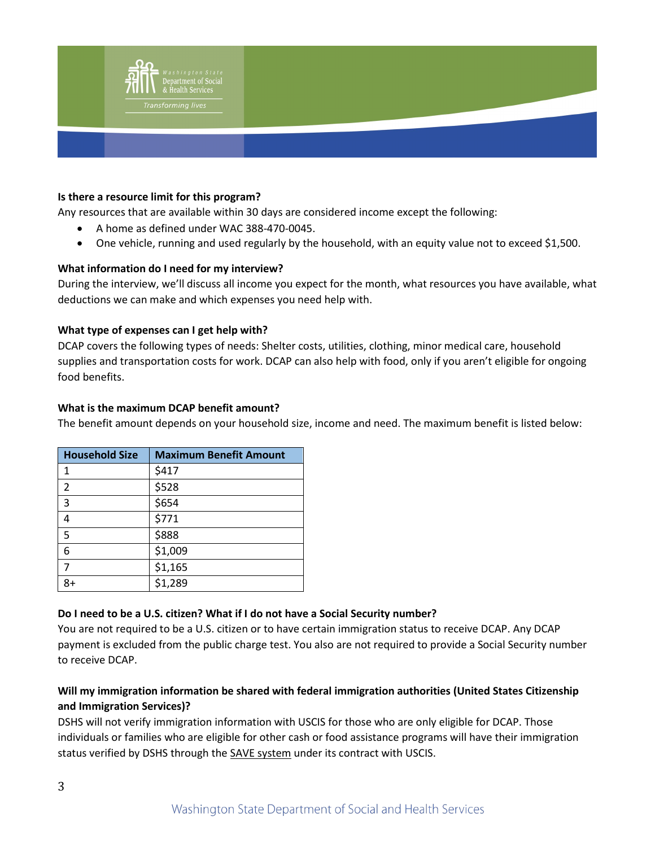

#### **Is there a resource limit for this program?**

Any resources that are available within 30 days are considered income except the following:

- A home as defined under WAC [388-470-0045.](http://app.leg.wa.gov/WAC/default.aspx?cite=388-470-0045)
- One vehicle, running and used regularly by the household, with an equity value not to exceed \$1,500.

### **What information do I need for my interview?**

During the interview, we'll discuss all income you expect for the month, what resources you have available, what deductions we can make and which expenses you need help with.

#### **What type of expenses can I get help with?**

DCAP covers the following types of needs: Shelter costs, utilities, clothing, minor medical care, household supplies and transportation costs for work. DCAP can also help with food, only if you aren't eligible for ongoing food benefits.

#### **What is the maximum DCAP benefit amount?**

The benefit amount depends on your household size, income and need. The maximum benefit is listed below:

| <b>Household Size</b> | <b>Maximum Benefit Amount</b> |
|-----------------------|-------------------------------|
| 1                     | \$417                         |
| $\overline{2}$        | \$528                         |
| $\overline{3}$        | \$654                         |
| 4                     | \$771                         |
| 5                     | \$888                         |
| 6                     | \$1,009                       |
| $\overline{7}$        | \$1,165                       |
| 8+                    | \$1,289                       |

## **Do I need to be a U.S. citizen? What if I do not have a Social Security number?**

You are not required to be a U.S. citizen or to have certain immigration status to receive DCAP. Any DCAP payment is excluded from the public charge test. You also are not required to provide a Social Security number to receive DCAP.

# **Will my immigration information be shared with federal immigration authorities (United States Citizenship and Immigration Services)?**

DSHS will not verify immigration information with USCIS for those who are only eligible for DCAP. Those individuals or families who are eligible for other cash or food assistance programs will have their immigration status verified by DSHS through the [SAVE system](https://www.uscis.gov/save) under its contract with USCIS.